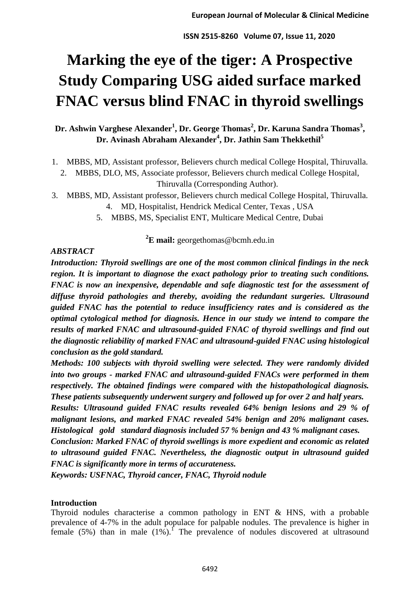# **Marking the eye of the tiger: A Prospective Study Comparing USG aided surface marked FNAC versus blind FNAC in thyroid swellings**

## **Dr. Ashwin Varghese Alexander<sup>1</sup> , Dr. George Thomas<sup>2</sup> , Dr. Karuna Sandra Thomas<sup>3</sup> , Dr. Avinash Abraham Alexander<sup>4</sup> , Dr. Jathin Sam Thekkethil<sup>5</sup>**

- 1. MBBS, MD, Assistant professor, Believers church medical College Hospital, Thiruvalla.
- 2. MBBS, DLO, MS, Associate professor, Believers church medical College Hospital, Thiruvalla (Corresponding Author).
- 3. MBBS, MD, Assistant professor, Believers church medical College Hospital, Thiruvalla. 4. MD, Hospitalist, Hendrick Medical Center, Texas , USA
	- 5. MBBS, MS, Specialist ENT, Multicare Medical Centre, Dubai

**<sup>2</sup>E mail:** georgethomas@bcmh.edu.in

## *ABSTRACT*

*Introduction: Thyroid swellings are one of the most common clinical findings in the neck region. It is important to diagnose the exact pathology prior to treating such conditions. FNAC is now an inexpensive, dependable and safe diagnostic test for the assessment of diffuse thyroid pathologies and thereby, avoiding the redundant surgeries. Ultrasound guided FNAC has the potential to reduce insufficiency rates and is considered as the optimal cytological method for diagnosis. Hence in our study we intend to compare the results of marked FNAC and ultrasound-guided FNAC of thyroid swellings and find out the diagnostic reliability of marked FNAC and ultrasound-guided FNAC using histological conclusion as the gold standard.* 

*Methods: 100 subjects with thyroid swelling were selected. They were randomly divided into two groups - marked FNAC and ultrasound-guided FNACs were performed in them respectively. The obtained findings were compared with the histopathological diagnosis. These patients subsequently underwent surgery and followed up for over 2 and half years.* 

*Results: Ultrasound guided FNAC results revealed 64% benign lesions and 29 % of malignant lesions, and marked FNAC revealed 54% benign and 20% malignant cases. Histological gold standard diagnosis included 57 % benign and 43 % malignant cases.* 

*Conclusion: Marked FNAC of thyroid swellings is more expedient and economic as related to ultrasound guided FNAC. Nevertheless, the diagnostic output in ultrasound guided FNAC is significantly more in terms of accurateness.* 

*Keywords: USFNAC, Thyroid cancer, FNAC, Thyroid nodule*

## **Introduction**

Thyroid nodules characterise a common pathology in ENT & HNS, with a probable prevalence of 4-7% in the adult populace for palpable nodules. The prevalence is higher in female (5%) than in male  $(1\%)$ . The prevalence of nodules discovered at ultrasound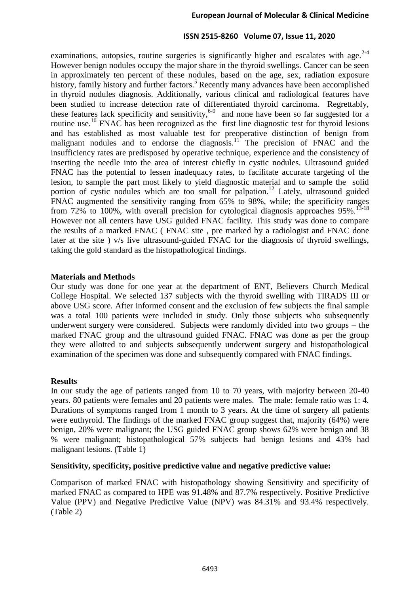examinations, autopsies, routine surgeries is significantly higher and escalates with age. $2-4$ However benign nodules occupy the major share in the thyroid swellings. Cancer can be seen in approximately ten percent of these nodules, based on the age, sex, radiation exposure history, family history and further factors.<sup>5</sup> Recently many advances have been accomplished in thyroid nodules diagnosis. Additionally, various clinical and radiological features have been studied to increase detection rate of differentiated thyroid carcinoma. Regrettably, these features lack specificity and sensitivity,  $6-9$  and none have been so far suggested for a routine use.<sup>10</sup> FNAC has been recognized as the first line diagnostic test for thyroid lesions and has established as most valuable test for preoperative distinction of benign from malignant nodules and to endorse the diagnosis.<sup>11</sup> The precision of FNAC and the insufficiency rates are predisposed by operative technique, experience and the consistency of inserting the needle into the area of interest chiefly in cystic nodules. Ultrasound guided FNAC has the potential to lessen inadequacy rates, to facilitate accurate targeting of the lesion, to sample the part most likely to yield diagnostic material and to sample the solid portion of cystic nodules which are too small for palpation.<sup>12</sup> Lately, ultrasound guided FNAC augmented the sensitivity ranging from 65% to 98%, while; the specificity ranges from 72% to 100%, with overall precision for cytological diagnosis approaches  $95\%$ .<sup>13-18</sup> However not all centers have USG guided FNAC facility. This study was done to compare the results of a marked FNAC ( FNAC site , pre marked by a radiologist and FNAC done later at the site ) v/s live ultrasound-guided FNAC for the diagnosis of thyroid swellings, taking the gold standard as the histopathological findings.

## **Materials and Methods**

Our study was done for one year at the department of ENT, Believers Church Medical College Hospital. We selected 137 subjects with the thyroid swelling with TIRADS III or above USG score. After informed consent and the exclusion of few subjects the final sample was a total 100 patients were included in study. Only those subjects who subsequently underwent surgery were considered. Subjects were randomly divided into two groups – the marked FNAC group and the ultrasound guided FNAC. FNAC was done as per the group they were allotted to and subjects subsequently underwent surgery and histopathological examination of the specimen was done and subsequently compared with FNAC findings.

## **Results**

In our study the age of patients ranged from 10 to 70 years, with majority between 20-40 years. 80 patients were females and 20 patients were males. The male: female ratio was 1: 4. Durations of symptoms ranged from 1 month to 3 years. At the time of surgery all patients were euthyroid. The findings of the marked FNAC group suggest that, majority (64%) were benign, 20% were malignant; the USG guided FNAC group shows 62% were benign and 38 % were malignant; histopathological 57% subjects had benign lesions and 43% had malignant lesions. (Table 1)

## **Sensitivity, specificity, positive predictive value and negative predictive value:**

Comparison of marked FNAC with histopathology showing Sensitivity and specificity of marked FNAC as compared to HPE was 91.48% and 87.7% respectively. Positive Predictive Value (PPV) and Negative Predictive Value (NPV) was 84.31% and 93.4% respectively. (Table 2)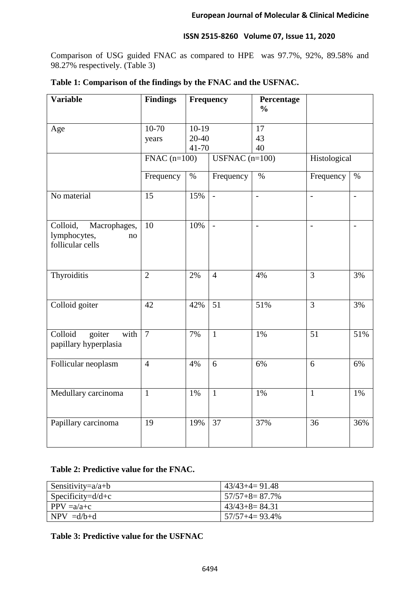Comparison of USG guided FNAC as compared to HPE was 97.7%, 92%, 89.58% and 98.27% respectively. (Table 3)

| Table 1: Comparison of the findings by the FNAC and the USFNAC. |  |  |  |
|-----------------------------------------------------------------|--|--|--|
|-----------------------------------------------------------------|--|--|--|

| <b>Variable</b>                                                    | <b>Findings</b>       |                  | Frequency       | Percentage<br>$\frac{0}{0}$ |                |                |
|--------------------------------------------------------------------|-----------------------|------------------|-----------------|-----------------------------|----------------|----------------|
| Age                                                                | $10-70$               | $10-19$          |                 | 17                          |                |                |
|                                                                    | years                 | $20 - 40$        |                 | 43                          |                |                |
|                                                                    |                       | 41-70            |                 | 40                          |                |                |
|                                                                    | $\text{FNAC}$ (n=100) | USFNAC $(n=100)$ |                 |                             | Histological   |                |
|                                                                    | Frequency             | $\%$             | Frequency       | $\%$                        | Frequency      | $\%$           |
| No material                                                        | 15                    | 15%              | $\overline{a}$  | $\overline{\phantom{0}}$    | $\overline{a}$ | $\overline{a}$ |
| Colloid,<br>Macrophages,<br>lymphocytes,<br>no<br>follicular cells | 10                    | 10%              | $\overline{a}$  | $\frac{1}{2}$               | $\blacksquare$ | $\overline{a}$ |
| Thyroiditis                                                        | $\overline{2}$        | 2%               | $\overline{4}$  | 4%                          | $\overline{3}$ | 3%             |
| Colloid goiter                                                     | 42                    | 42%              | $\overline{51}$ | 51%                         | $\overline{3}$ | 3%             |
| Colloid<br>goiter<br>with<br>papillary hyperplasia                 | $\overline{7}$        | 7%               | $\overline{1}$  | $1\%$                       | 51             | 51%            |
| Follicular neoplasm                                                | $\overline{4}$        | 4%               | 6               | 6%                          | 6              | 6%             |
| Medullary carcinoma                                                | $\mathbf{1}$          | 1%               | $\mathbf{1}$    | 1%                          | $\mathbf{1}$   | 1%             |
| Papillary carcinoma                                                | 19                    | 19%              | $\overline{37}$ | 37%                         | 36             | 36%            |

## **Table 2: Predictive value for the FNAC.**

| Sensitivity= $a/a+b$ | $43/43+4=91.48$       |
|----------------------|-----------------------|
| Specificity= $d/d+c$ | $157/57 + 8 = 87.7\%$ |
| $PPV = a/a + c$      | $43/43+8=84.31$       |
| $NPV = d/b+d$        | $157/57+4=93.4\%$     |

## **Table 3: Predictive value for the USFNAC**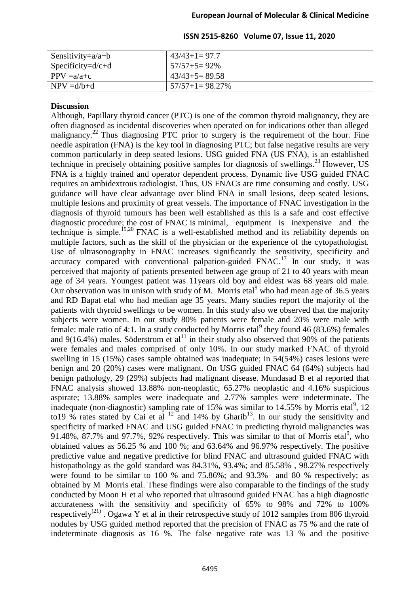| Sensitivity= $a/a+b$ | $43/43+1=97.7$    |
|----------------------|-------------------|
| $Specificity=d/c+d$  | $157/57+5=92\%$   |
| $PPV = a/a + c$      | $43/43+5=89.58$   |
| $NPV = d/b + d$      | $57/57+1=98.27\%$ |

## **Discussion**

Although, Papillary thyroid cancer (PTC) is one of the common thyroid malignancy, they are often diagnosed as incidental discoveries when operated on for indications other than alleged malignancy.<sup>22</sup> Thus diagnosing PTC prior to surgery is the requirement of the hour. Fine needle aspiration (FNA) is the key tool in diagnosing PTC; but false negative results are very common particularly in deep seated lesions. USG guided FNA (US FNA), is an established technique in precisely obtaining positive samples for diagnosis of swellings.<sup>23</sup> However, US FNA is a highly trained and operator dependent process. Dynamic live USG guided FNAC requires an ambidextrous radiologist. Thus, US FNACs are time consuming and costly. USG guidance will have clear advantage over blind FNA in small lesions, deep seated lesions, multiple lesions and proximity of great vessels. The importance of FNAC investigation in the diagnosis of thyroid tumours has been well established as this is a safe and cost effective diagnostic procedure; the cost of FNAC is minimal, equipment is inexpensive and the technique is simple.19,20 FNAC is a well-established method and its reliability depends on multiple factors, such as the skill of the physician or the experience of the cytopathologist. Use of ultrasonography in FNAC increases significantly the sensitivity, specificity and accuracy compared with conventional palpation-guided  $\overrightarrow{FNAC}$ .<sup>17</sup> In our study, it was perceived that majority of patients presented between age group of 21 to 40 years with mean age of 34 years. Youngest patient was 11years old boy and eldest was 68 years old male. Our observation was in unison with study of M. Morris etal who had mean age of  $36.5$  years and RD Bapat etal who had median age 35 years. Many studies report the majority of the patients with thyroid swellings to be women. In this study also we observed that the majority subjects were women. In our study 80% patients were female and 20% were male with female: male ratio of 4:1. In a study conducted by Morris etal<sup>9</sup> they found 46 (83.6%) females and  $9(16.4\%)$  males. Söderstrom et al<sup>11</sup> in their study also observed that 90% of the patients were females and males comprised of only 10%. In our study marked FNAC of thyroid swelling in 15 (15%) cases sample obtained was inadequate; in 54(54%) cases lesions were benign and 20 (20%) cases were malignant. On USG guided FNAC 64 (64%) subjects had benign pathology, 29 (29%) subjects had malignant disease. Mundasad B et al reported that FNAC analysis showed 13.88% non-neoplastic, 65.27% neoplastic and 4.16% suspicious aspirate; 13.88% samples were inadequate and 2.77% samples were indeterminate. The inadequate (non-diagnostic) sampling rate of  $15\%$  was similar to 14.55% by Morris etal<sup>9</sup>, 12 to 19 % rates stated by Cai et al  $^{12}$  and 14% by Gharib<sup>13</sup>. In our study the sensitivity and specificity of marked FNAC and USG guided FNAC in predicting thyroid malignancies was  $91.48\%$ , 87.7% and 97.7%, 92% respectively. This was similar to that of Morris etal<sup>9</sup>, who obtained values as 56.25 % and 100 %; and 63.64% and 96.97% respectively. The positive predictive value and negative predictive for blind FNAC and ultrasound guided FNAC with histopathology as the gold standard was 84.31%, 93.4%; and 85.58% , 98.27% respectively were found to be similar to 100 % and 75.86%; and 93.3% and 80 % respectively; as obtained by M Morris etal. These findings were also comparable to the findings of the study conducted by Moon H et al who reported that ultrasound guided FNAC has a high diagnostic accurateness with the sensitivity and specificity of 65% to 98% and 72% to 100% respectively<sup>(21)</sup>. Ogawa Y et al in their retrospective study of 1012 samples from 806 thyroid nodules by USG guided method reported that the precision of FNAC as 75 % and the rate of indeterminate diagnosis as 16 %. The false negative rate was 13 % and the positive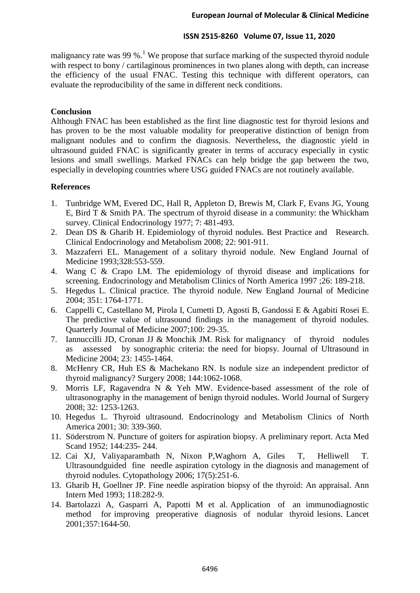malignancy rate was 99 %.<sup>1</sup> We propose that surface marking of the suspected thyroid nodule with respect to bony / cartilaginous prominences in two planes along with depth, can increase the efficiency of the usual FNAC. Testing this technique with different operators, can evaluate the reproducibility of the same in different neck conditions.

## **Conclusion**

Although FNAC has been established as the first line diagnostic test for thyroid lesions and has proven to be the most valuable modality for preoperative distinction of benign from malignant nodules and to confirm the diagnosis. Nevertheless, the diagnostic yield in ultrasound guided FNAC is significantly greater in terms of accuracy especially in cystic lesions and small swellings. Marked FNACs can help bridge the gap between the two, especially in developing countries where USG guided FNACs are not routinely available.

## **References**

- 1. Tunbridge WM, Evered DC, Hall R, Appleton D, Brewis M, Clark F, Evans JG, Young E, Bird T & Smith PA. The spectrum of thyroid disease in a community: the Whickham survey. Clinical Endocrinology 1977; 7: 481-493.
- 2. Dean DS & Gharib H. Epidemiology of thyroid nodules. Best Practice and Research. Clinical Endocrinology and Metabolism 2008; 22: 901-911.
- 3. Mazzaferri EL. Management of a solitary thyroid nodule. New England Journal of Medicine 1993;328:553-559.
- 4. Wang C & Crapo LM. The epidemiology of thyroid disease and implications for screening. Endocrinology and Metabolism Clinics of North America 1997 ;26: 189-218.
- 5. Hegedus L. Clinical practice. The thyroid nodule. New England Journal of Medicine 2004; 351: 1764-1771.
- 6. Cappelli C, Castellano M, Pirola I, Cumetti D, Agosti B, Gandossi E & Agabiti Rosei E. The predictive value of ultrasound findings in the management of thyroid nodules. Quarterly Journal of Medicine 2007;100: 29-35.
- 7. Iannuccilli JD, Cronan JJ & Monchik JM. Risk for malignancy of thyroid nodules as assessed by sonographic criteria: the need for biopsy. Journal of Ultrasound in Medicine 2004; 23: 1455-1464.
- 8. McHenry CR, Huh ES & Machekano RN. Is nodule size an independent predictor of thyroid malignancy? Surgery 2008; 144:1062-1068.
- 9. Morris LF, Ragavendra N & Yeh MW. Evidence-based assessment of the role of ultrasonography in the management of benign thyroid nodules. World Journal of Surgery 2008; 32: 1253-1263.
- 10. Hegedus L. Thyroid ultrasound. Endocrinology and Metabolism Clinics of North America 2001; 30: 339-360.
- 11. Söderstrom N. Puncture of goiters for aspiration biopsy. A preliminary report. Acta Med Scand 1952; 144:235- 244.
- 12. Cai XJ, Valiyaparambath N, Nixon P,Waghorn A, Giles T, Helliwell T. Ultrasoundguided fine needle aspiration cytology in the diagnosis and management of thyroid nodules. Cytopathology 2006; 17(5):251-6.
- 13. Gharib H, Goellner JP. Fine needle aspiration biopsy of the thyroid: An appraisal. Ann Intern Med 1993; 118:282-9.
- 14. Bartolazzi A, Gasparri A, Papotti M et al. Application of an immunodiagnostic method for improving preoperative diagnosis of nodular thyroid lesions. Lancet 2001;357:1644-50.